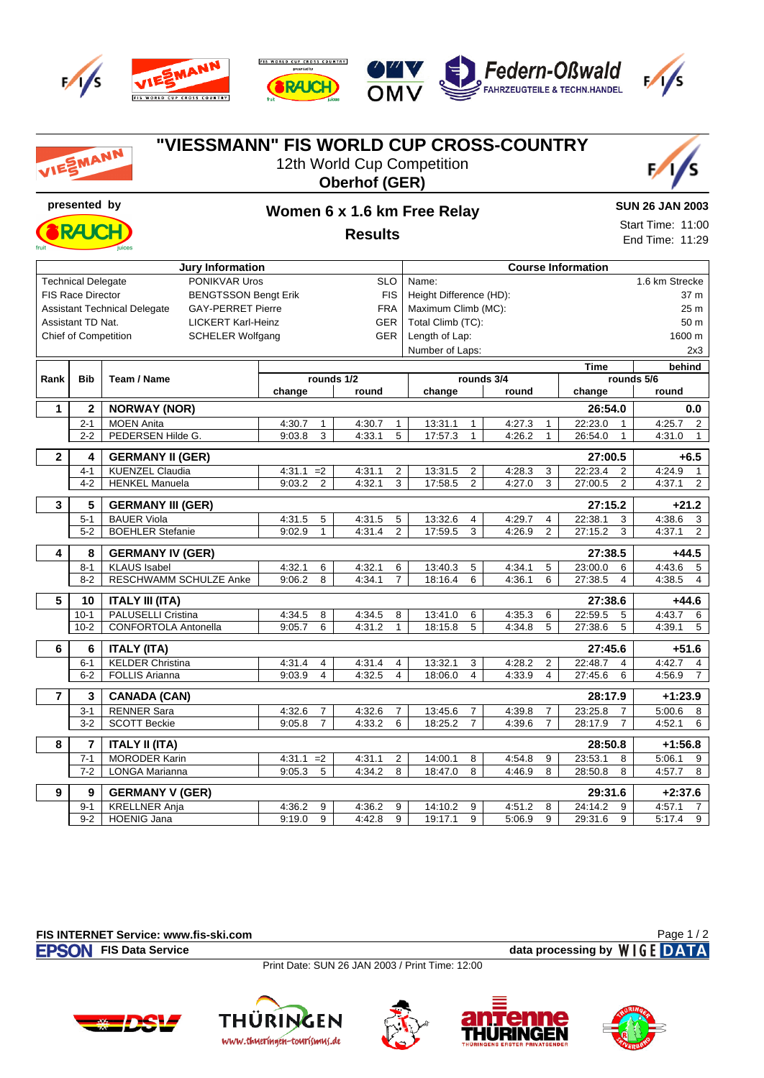

**FIS WORLD CUP CROSS COUNTRY RAJCH)** 







| VIESMANN       |                           | "VIESSMANN" FIS WORLD CUP CROSS-COUNTRY                         |              |                | 12th World Cup Competition<br><b>Oberhof (GER)</b> |  |                         |                |        |                |                           |                          |  |
|----------------|---------------------------|-----------------------------------------------------------------|--------------|----------------|----------------------------------------------------|--|-------------------------|----------------|--------|----------------|---------------------------|--------------------------|--|
|                | presented by              |                                                                 |              |                | Women 6 x 1.6 km Free Relay                        |  |                         |                |        |                |                           | <b>SUN 26 JAN 2003</b>   |  |
|                |                           |                                                                 |              |                |                                                    |  |                         |                |        |                |                           | Start Time: 11:00        |  |
|                |                           | iuices                                                          |              |                | <b>Results</b>                                     |  |                         |                |        |                |                           | End Time: 11:29          |  |
|                |                           | <b>Jury Information</b>                                         |              |                |                                                    |  |                         |                |        |                | <b>Course Information</b> |                          |  |
|                | <b>Technical Delegate</b> | PONIKVAR Uros                                                   | <b>SLO</b>   |                |                                                    |  | Name:                   |                |        | 1.6 km Strecke |                           |                          |  |
|                | <b>FIS Race Director</b>  | <b>BENGTSSON Bengt Erik</b>                                     |              |                | <b>FIS</b>                                         |  | Height Difference (HD): |                |        |                | 37 m                      |                          |  |
|                |                           | <b>Assistant Technical Delegate</b><br><b>GAY-PERRET Pierre</b> |              |                | FRA                                                |  | Maximum Climb (MC):     |                |        |                |                           | 25 m                     |  |
|                | Assistant TD Nat.         | <b>LICKERT Karl-Heinz</b>                                       |              |                | GER                                                |  | Total Climb (TC):       |                |        |                |                           | 50 m                     |  |
|                | Chief of Competition      | <b>SCHELER Wolfgang</b>                                         |              |                | GER                                                |  | Length of Lap:          |                |        |                |                           | 1600 m                   |  |
|                |                           |                                                                 |              |                |                                                    |  | Number of Laps:         |                |        |                |                           | 2x3                      |  |
| Rank           | <b>Bib</b>                | Team / Name                                                     | rounds 1/2   |                |                                                    |  | rounds 3/4              |                |        |                | Time                      | behind<br>rounds 5/6     |  |
|                |                           |                                                                 | change       |                | round                                              |  | change                  |                | round  |                | change                    | round                    |  |
| 1              | 2                         | <b>NORWAY (NOR)</b>                                             |              |                |                                                    |  |                         |                |        |                | 26:54.0                   | 0.0                      |  |
|                | $2 - 1$                   | <b>MOEN Anita</b>                                               | 4:30.7       | $\mathbf{1}$   | 4:30.7<br>1                                        |  | 13:31.1                 | 1              | 4:27.3 | 1              | 22:23.0<br>$\mathbf{1}$   | 4:25.7<br>2              |  |
|                | $2 - 2$                   | PEDERSEN Hilde G.                                               | 9:03.8       | 3              | 4:33.1<br>5                                        |  | 17:57.3                 | $\mathbf 1$    | 4:26.2 | $\mathbf{1}$   | 26:54.0<br>$\mathbf{1}$   | 4:31.0<br>$\mathbf{1}$   |  |
| $\mathbf{2}$   | 4                         | <b>GERMANY II (GER)</b>                                         |              |                |                                                    |  |                         |                |        |                | 27:00.5                   | $+6.5$                   |  |
|                | $4 - 1$                   | <b>KUENZEL Claudia</b>                                          | $4:31.1 = 2$ |                | 4:31.1<br>$\overline{2}$                           |  | 13:31.5                 | 2              | 4:28.3 | 3              | 22:23.4<br>$\overline{2}$ | 4:24.9<br>$\overline{1}$ |  |
|                | $4 - 2$                   | <b>HENKEL Manuela</b>                                           | 9:03.2       | $\overline{2}$ | 4:32.1<br>3                                        |  | 17:58.5                 | 2              | 4:27.0 | 3              | 27:00.5<br>$\overline{2}$ | 4:37.1<br>$\overline{2}$ |  |
| 3              | 5                         | <b>GERMANY III (GER)</b>                                        |              |                |                                                    |  |                         |                |        |                | 27:15.2                   | $+21.2$                  |  |
|                | $5 - 1$                   | <b>BAUER Viola</b>                                              | 4:31.5       | 5              | 4:31.5<br>5                                        |  | 13:32.6                 | 4              | 4:29.7 | 4              | 22:38.1<br>3              | 4:38.6<br>3              |  |
|                | $5 - 2$                   | <b>BOEHLER Stefanie</b>                                         | 9:02.9       | $\mathbf{1}$   | 4:31.4<br>2                                        |  | 17:59.5                 | 3              | 4:26.9 | $\overline{2}$ | 27:15.2<br>3              | 4:37.1<br>$\overline{2}$ |  |
| 4              | 8                         | <b>GERMANY IV (GER)</b>                                         |              |                |                                                    |  |                         |                |        |                | 27:38.5                   | $+44.5$                  |  |
|                | $8 - 1$                   | <b>KLAUS Isabel</b>                                             | 4:32.1       | 6              | 4:32.1<br>6                                        |  | 13:40.3                 | 5              | 4:34.1 | 5              | 23:00.0<br>6              | 4:43.6<br>5              |  |
|                | $8 - 2$                   | RESCHWAMM SCHULZE Anke                                          | 9:06.2       | 8              | $\overline{7}$<br>4:34.1                           |  | 18:16.4                 | 6              | 4:36.1 | 6              | 27:38.5<br>4              | 4:38.5<br>$\overline{4}$ |  |
| 5              | 10                        | <b>ITALY III (ITA)</b><br>27:38.6                               |              |                |                                                    |  |                         |                | +44.6  |                |                           |                          |  |
|                | $10-1$                    | PALUSELLI Cristina                                              | 4:34.5       | 8              | 4:34.5<br>8                                        |  | 13:41.0                 | 6              | 4:35.3 | 6              | 22:59.5<br>5              | 4:43.7<br>6              |  |
|                | $10 - 2$                  | CONFORTOLA Antonella                                            | 9:05.7       | 6              | 4:31.2<br>$\mathbf{1}$                             |  | 18:15.8                 | 5              | 4:34.8 | 5              | 27:38.6<br>5              | 4:39.1<br>5              |  |
| 6              | 6                         | <b>ITALY (ITA)</b>                                              |              |                |                                                    |  |                         |                |        |                | 27:45.6                   | $+51.6$                  |  |
|                | $6 - 1$                   | <b>KELDER Christina</b>                                         | 4:31.4       | 4              | 4:31.4<br>$\overline{4}$                           |  | 13:32.1                 | 3              | 4:28.2 | $\overline{2}$ | 22:48.7<br>4              | 4:42.7<br>4              |  |
|                | $6 - 2$                   | <b>FOLLIS Arianna</b>                                           | 9:03.9       | 4              | 4:32.5<br>$\overline{4}$                           |  | 18:06.0                 | 4              | 4:33.9 | 4              | 27:45.6<br>6              | 4:56.9<br>7              |  |
| $\overline{7}$ | 3                         | <b>CANADA (CAN)</b>                                             |              |                |                                                    |  |                         |                |        |                | 28:17.9                   | $+1:23.9$                |  |
|                | $3 - 1$                   | RENNER Sara                                                     | 4:32.6       | $\overline{7}$ | 4:32.6<br>$\overline{7}$                           |  | 13:45.6                 | $\overline{7}$ | 4:39.8 | $\overline{7}$ | 23:25.8<br>$\overline{7}$ | $5:00.6$ 8               |  |
|                | $3-2$                     | <b>SCOTT Beckie</b>                                             | 9:05.8       | $\overline{7}$ | 4:33.2<br>6                                        |  | 18:25.2                 | $\overline{7}$ | 4:39.6 | $\overline{7}$ | 28:17.9<br>$\overline{7}$ | 4:52.1<br>6              |  |
| 8              | 7                         | <b>ITALY II (ITA)</b>                                           |              |                |                                                    |  |                         |                |        |                | 28:50.8                   | $+1:56.8$                |  |
|                | $7 - 1$                   | <b>MORODER Karin</b>                                            | $4:31.1 = 2$ |                | 4:31.1<br>$\overline{2}$                           |  | 14:00.1                 | 8              | 4:54.8 | 9              | 23:53.1<br>8              | 5:06.1<br>9              |  |
|                | $7 - 2$                   | LONGA Marianna                                                  | $9:05.3$ 5   |                | 8<br>4:34.2                                        |  | 18:47.0                 | 8              | 4:46.9 | 8              | 28:50.8<br>8              | 4:57.7<br>8              |  |
| 9              | 9                         | <b>GERMANY V (GER)</b>                                          |              |                |                                                    |  |                         |                |        |                | 29:31.6                   | $+2:37.6$                |  |
|                | $9 - 1$                   | <b>KRELLNER Anja</b>                                            | 4:36.2       | 9              | 4:36.2<br>9                                        |  | 14:10.2                 | 9              | 4:51.2 | 8              | 24:14.2<br>9              | 4:57.1<br>$\overline{7}$ |  |
|                | $9-2$                     | <b>HOENIG Jana</b>                                              | 9:19.0       | 9              | 4:42.8<br>9                                        |  | 19:17.1                 | 9              | 5:06.9 | 9              | 29:31.6<br>9              | 5:17.4<br>9              |  |

## **FIS INTERNET Service: www.fis-ski.com**

Page 1 / 2

**FISON** FIS Data Service data processing by WIGE DATA

Print Date: SUN 26 JAN 2003 / Print Time: 12:00